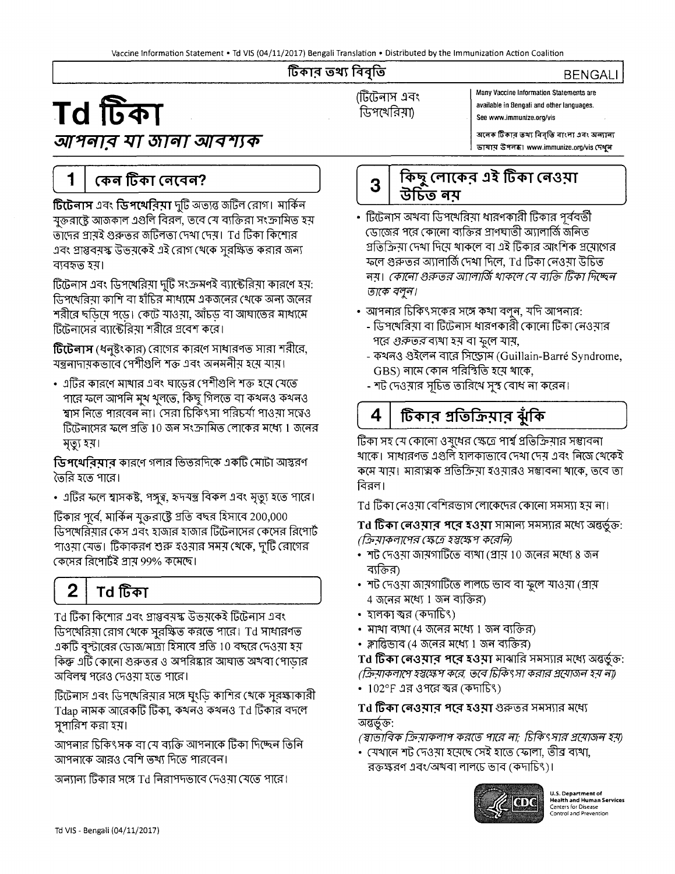#### টিকার তথ্য বিবৃতি

# **Td 1**<br>**available in Bengali and other languages.**<br> **Compact 1 available in Bengali and other languages.**<br>
See www.immunize.org/vis

# আপনাব যা জানা আবশ্যক

Many Vaccine Information Statements are

অনেক টিকাব তথ্য বিবৃতি বাংলা এবং অন্যাল্য **ভাষায় উপলব্ধ। www.immunize.org/vis দেখুন** 

**BENGALI** 

 $\begin{bmatrix} 1 & 1 \\ 1 & 1 \end{bmatrix}$ 

# r **1** I ~ ~ **(G1(4Gi?** <sup>J</sup>

**টিটেলাস** এবং **ডিপথেবিমা** দুটি অত্যন্ত জটিল রোগ। মার্কিন <u>'</u>মক্তরাষ্টে আজকাল এগুলি বিরল, তবে মে ব্যক্তিরা সংক্রামিত হয় <u>তা</u>দের প্রায়ই গুরুত্তর জটিলতা দেশা দেয়। Td টিকা কিশোর এবং প্রাপ্তবম়স্ক উভমকেই এই রোগ থেকে সুরক্ষিত করার জন্য ব্যবহৃত হয়।

ব্যবহৃত হয়।<br>টিটেনাস এবং ডিপথেরিয়া দুটি সংক্রমণই ব্যাক্টেরিয়া কারণে হয়:<br>ডিপথেরিয়া কাশি বা হাঁচির মাধ্যমে একজনের থেকে অন্য জনের<br>সরীর চরিক্সপুস্ক। বেক্ট সংগ্রস, সুসঁচন ব্য ব্যাদ্যমের সংখ্যম ডিপথেরিয়া কাশি বা হাঁচির মাধ্যমে একজনের থেকে অন্য জনের<br>শরীরে ছডিয়ে পডে। কেটে যাওয়া, আঁচড বা আঘাতের মাধ্যমে টিটেনাসের ব্যাক্টেরিয়া শরীরে প্রবেশ করে।

**টিটেলাস** (ধনুষ্টংকার) রোগের কারণে সাধারণত সারা শরীরে, মন্ত্ৰনাদায়কভাবে পেশীগুলি শক্ত এবং অনমনীয় হয়ে যায়।

• এটির কারণে মাথার এবং ঘাডের পেশীগুলি শক্ত হমে মেতে পারে ফলে আপনি মুখ থুলতে, কিছু গিলতে বা কথনও কথনও শানে কণে আগান নুষ সুণভে, কিন্তু দিশতে যা কর্মনত কর্মনত<br>শ্বাস নিতে পারবেন না। সেরা চিকিৎসা পরিচর্যা পাওয়া সত্বেও<br>টিটেনাসের ফলে প্রতি 10 জন সংক্রামিত লোকের মধ্যে 1 জনের মৃত্যু হয়।

 $\mathbf G$ পথেরিয়ার কারণে গলার ভিতরদিকে একটি মোটা আন্তরণ জৈরি হতে পারে।

• এটির ফলে শ্বাসকষ্ট, পঙ্গুত্ব, হৃদযন্ত্র বিকল এবং মৃত্যু হতে পারে।

টিকার পূর্বে, মার্কিন যুক্তরাষ্ট্রে প্রতি বছর হিসাবে 200,000 ডিপখেরিয়ার কেস এবং হাজার হাজার টিটেনাসের কেসের রিপোর্ট পাওয়া যেত। টিকাকরণ শুরু হওয়ার সময় থেকে, দুটি রোগের কেসের রিপোর্টই প্রায় 99% কমেছে।

# Td টিকা

 $\mathbf 2$ 

Td টিকা কিশোর এবং প্রাপ্তবয়স্ক উভয়কেই টিটেনাস এবং ডিপথেরিমা রোগ থেকে সুরষ্কিত করতে পারে। Td সাধারণত একটি বুস্টারের ডোজ/মাত্রা হিসাবে প্রতি 10 বছরে দেওয়া হয়<br>কিন্তু এটি কোনো গুরুত্তর ও অপরিষ্কার আঘাত অখবা পোড়ার কিন্তু এটি কোনো গুরুত্তর ও অপরিষ্কার আঘাত অখবা পোড়ার<br>অবিলম্ব পরেও দেওয়া হতে পারে।

টিটেনাস এবং ডিপথেরিয়ার সঙ্গে ঘংডি কাশির খেকে সুরক্ষাকারী  $\tau$ dap নামক আরেকটি টিকা, কথনও কথনও  $\tau$ d টিকার বদলে সুপারিশ করা হয়।

আপনার চিকিৎসক বা যে ব্যক্তি আপনাকে টিকা দিচ্ছেন তিনি আপনাকে আরও বেশি তথ্য দিতে পারবেন।

অন্যান্য টিকার সঙ্গে Td নিরাপদভাবে দেওমা মেতে পারে।



- টিটেনাস অখবা ডিপথেরিয়া ধারণকারী টিকার পূর্ববর্তী জোজের পরে কোনো ব্যক্তির প্রাণঘাতী অ্যালার্জি জনিত গ্রত্তিক্রিয়া দেখা দিয়ে থাকলে বা এই টিকার আংশিক প্রয়োগের -মলে গুরুত্তর অ্যালার্জি দেখা দিলে, Td টিকা নেওয়া উচিত নম়। কোনো গুরুত্তর অ্যালার্জি থাকলে যে ব্যক্তি টিকা দিচ্ছেন <u>তাকে বলুন।</u>
- $\bullet~$  আপনার চিকিৎসকের সঙ্গে কথা বলুন, যদি আপনার:
	- ডিপথেরিয়া বা টিটেনাস ধারণকারী কোনো টিকা নেওয়ার গরে *গুরুত্তর* ব্যখা হয় বা ফুলে যায়,
	- কথনও গুইলেন বারে সিড্রোম (Guillain-Barré Syndrome, GBS) নামে কোন পরিস্থিতি হয়ে থাকে,
	- শট দেওয়ার সূচিত তারিথে সুস্থ বোধ না করেন।

টিকার প্রতিক্রিয়ার ঝুঁকি 4

টিকা সহ যে কোনো ওষুধের ক্ষেত্রে পার্শ্ব প্রতিক্রিয়ার সম্ভাবনা খাকে। সাধারণত এগুলি হালকাভাবে দেখা দেয় এবং নিজে থেকেই খাকে। সাধারণত এস্তাল হালকাভাবে দেখা দের এবং ানজে খেকেহ<br>কমে যায়। মারাত্মক প্রতিক্রিয়া হওয়ারও সম্ভাবনা থাকে, তবে তা কমে যায়<br>বিরল।

Td টিকা নেওয়া বেশিরভাগ লোকেদের কোনো সমস্যা হয় না।

**T~ ~CGf\'3~ ~~'3:IT~** 5-la.!5-l\liq ~~: (J,:p?J/<1>'1/C'1?f (J!R3 ~ff~

- "lb 01'3?TT oWl~<rNr (W Io 'a.j"(l!:fl" 8 01"1 ~
- ব্যক্তির)<br>• শট দেওয়া জায়গাটিতে লালচে ভাব বা ফুলে যাওয়া (প্রায়  $4~$ জনের মধ্যে  $1~$ জন ব্যক্তির)
- হালকা স্বর (কদাচিৎ)
- মাখা ব্যখা (4 জনের মধ্যে 1 জন ব্যক্তির)
- ক্লান্তিভাব (4 জনের মধ্যে 1 জন ব্যক্তির)

 ${\bf T}$ d **টিকা নেওয়াব পবে হওয়া** মাঝারি সমস্যার মধ্যে অন্তর্ভুক্ত: (ক্রিয়াকলাপে হস্তক্ষেপ করে, তবে চিকিৎসা করার প্রযোজন হয় ন্য)

• 102°F এর ওপরে ক্ষর (কদাচিৎ)

Td **টিকা নেওয়ার পরে হওয়া** গুরুত্তর সমস্যার মধ্যে<br>অন্তর্ভুক্ত:<br>পেদ্রারিক কিয়াকলাপ কর্নেজ পারে না: দিকিং ঘর পুরা

(স্বাভাবিক ক্রিয়াকলাপ করতে পারে না; চিকিৎসার প্রয়োজন হয়)

(*রাভ্যাবক ক্রমাকণার করভে বামে লা, চাক সাম গ্রনেন*<br>• যেখানে শট দেওয়া হয়েছে সেই হাতে ফোলা, ভীব্র বা<mark>খা,</mark><br>– রক্তক্ষরণ এবং/অ<mark>খবা লালচে ভাব (কদাচিং)।</mark>



**U.S. Department of Health and Human Services**  Centers for Disease Control and Prevention